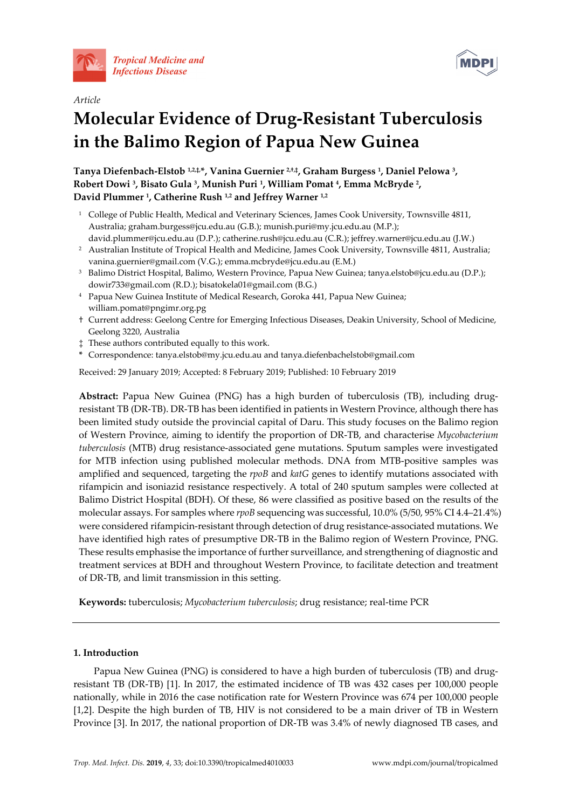



## *Article*

# **Molecular Evidence of Drug-Resistant Tuberculosis in the Balimo Region of Papua New Guinea**

**Tanya Diefenbach-Elstob 1,2,‡,\*, Vanina Guernier 2,†,‡, Graham Burgess 1, Daniel Pelowa 3, Robert Dowi 3, Bisato Gula 3, Munish Puri 1, William Pomat 4, Emma McBryde 2, David Plummer 1, Catherine Rush 1,2 and Jeffrey Warner 1,2**

- <sup>1</sup> College of Public Health, Medical and Veterinary Sciences, James Cook University, Townsville 4811, Australia; graham.burgess@jcu.edu.au (G.B.); munish.puri@my.jcu.edu.au (M.P.); david.plummer@jcu.edu.au (D.P.); catherine.rush@jcu.edu.au (C.R.); jeffrey.warner@jcu.edu.au (J.W.)
- <sup>2</sup> Australian Institute of Tropical Health and Medicine, James Cook University, Townsville 4811, Australia; vanina.guernier@gmail.com (V.G.); emma.mcbryde@jcu.edu.au (E.M.)
- <sup>3</sup> Balimo District Hospital, Balimo, Western Province, Papua New Guinea; tanya.elstob@jcu.edu.au (D.P.); dowir733@gmail.com (R.D.); bisatokela01@gmail.com (B.G.)
- 4 Papua New Guinea Institute of Medical Research, Goroka 441, Papua New Guinea; william.pomat@pngimr.org.pg
- † Current address: Geelong Centre for Emerging Infectious Diseases, Deakin University, School of Medicine, Geelong 3220, Australia
- ‡ These authors contributed equally to this work.
- **\*** Correspondence: tanya.elstob@my.jcu.edu.au and tanya.diefenbachelstob@gmail.com

Received: 29 January 2019; Accepted: 8 February 2019; Published: 10 February 2019

**Abstract:** Papua New Guinea (PNG) has a high burden of tuberculosis (TB), including drugresistant TB (DR-TB). DR-TB has been identified in patients in Western Province, although there has been limited study outside the provincial capital of Daru. This study focuses on the Balimo region of Western Province, aiming to identify the proportion of DR-TB, and characterise *Mycobacterium tuberculosis* (MTB) drug resistance-associated gene mutations. Sputum samples were investigated for MTB infection using published molecular methods. DNA from MTB-positive samples was amplified and sequenced, targeting the *rpoB* and *katG* genes to identify mutations associated with rifampicin and isoniazid resistance respectively. A total of 240 sputum samples were collected at Balimo District Hospital (BDH). Of these, 86 were classified as positive based on the results of the molecular assays. For samples where *rpoB* sequencing was successful, 10.0% (5/50, 95% CI 4.4–21.4%) were considered rifampicin-resistant through detection of drug resistance-associated mutations. We have identified high rates of presumptive DR-TB in the Balimo region of Western Province, PNG. These results emphasise the importance of further surveillance, and strengthening of diagnostic and treatment services at BDH and throughout Western Province, to facilitate detection and treatment of DR-TB, and limit transmission in this setting.

**Keywords:** tuberculosis; *Mycobacterium tuberculosis*; drug resistance; real-time PCR

## **1. Introduction**

Papua New Guinea (PNG) is considered to have a high burden of tuberculosis (TB) and drugresistant TB (DR-TB) [1]. In 2017, the estimated incidence of TB was 432 cases per 100,000 people nationally, while in 2016 the case notification rate for Western Province was 674 per 100,000 people [1,2]. Despite the high burden of TB, HIV is not considered to be a main driver of TB in Western Province [3]. In 2017, the national proportion of DR-TB was 3.4% of newly diagnosed TB cases, and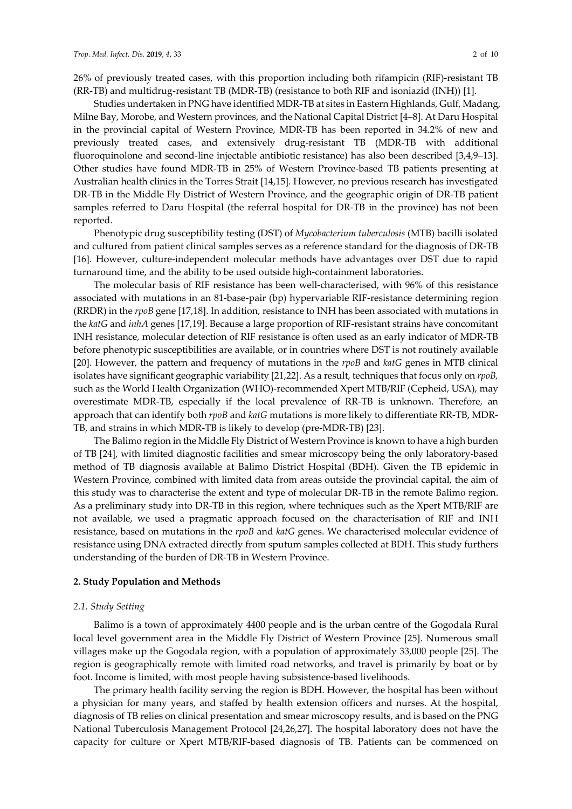26% of previously treated cases, with this proportion including both rifampicin (RIF)-resistant TB (RR-TB) and multidrug-resistant TB (MDR-TB) (resistance to both RIF and isoniazid (INH)) [1].

Studies undertaken in PNG have identified MDR-TB at sites in Eastern Highlands, Gulf, Madang, Milne Bay, Morobe, and Western provinces, and the National Capital District [4–8]. At Daru Hospital in the provincial capital of Western Province, MDR-TB has been reported in 34.2% of new and previously treated cases, and extensively drug-resistant TB (MDR-TB with additional fluoroquinolone and second-line injectable antibiotic resistance) has also been described [3,4,9–13]. Other studies have found MDR-TB in 25% of Western Province-based TB patients presenting at Australian health clinics in the Torres Strait [14,15]. However, no previous research has investigated DR-TB in the Middle Fly District of Western Province, and the geographic origin of DR-TB patient samples referred to Daru Hospital (the referral hospital for DR-TB in the province) has not been reported.

Phenotypic drug susceptibility testing (DST) of *Mycobacterium tuberculosis* (MTB) bacilli isolated and cultured from patient clinical samples serves as a reference standard for the diagnosis of DR-TB [16]. However, culture-independent molecular methods have advantages over DST due to rapid turnaround time, and the ability to be used outside high-containment laboratories.

The molecular basis of RIF resistance has been well-characterised, with 96% of this resistance associated with mutations in an 81-base-pair (bp) hypervariable RIF-resistance determining region (RRDR) in the *rpoB* gene [17,18]. In addition, resistance to INH has been associated with mutations in the *katG* and *inhA* genes [17,19]. Because a large proportion of RIF-resistant strains have concomitant INH resistance, molecular detection of RIF resistance is often used as an early indicator of MDR-TB before phenotypic susceptibilities are available, or in countries where DST is not routinely available [20]. However, the pattern and frequency of mutations in the *rpoB* and *katG* genes in MTB clinical isolates have significant geographic variability [21,22]. As a result, techniques that focus only on *rpoB,*  such as the World Health Organization (WHO)-recommended Xpert MTB/RIF (Cepheid, USA), may overestimate MDR-TB, especially if the local prevalence of RR-TB is unknown. Therefore, an approach that can identify both *rpoB* and *katG* mutations is more likely to differentiate RR-TB, MDR-TB, and strains in which MDR-TB is likely to develop (pre-MDR-TB) [23].

The Balimo region in the Middle Fly District of Western Province is known to have a high burden of TB [24], with limited diagnostic facilities and smear microscopy being the only laboratory-based method of TB diagnosis available at Balimo District Hospital (BDH). Given the TB epidemic in Western Province, combined with limited data from areas outside the provincial capital, the aim of this study was to characterise the extent and type of molecular DR-TB in the remote Balimo region. As a preliminary study into DR-TB in this region, where techniques such as the Xpert MTB/RIF are not available, we used a pragmatic approach focused on the characterisation of RIF and INH resistance, based on mutations in the *rpoB* and *katG* genes. We characterised molecular evidence of resistance using DNA extracted directly from sputum samples collected at BDH. This study furthers understanding of the burden of DR-TB in Western Province.

#### **2. Study Population and Methods**

#### *2.1. Study Setting*

Balimo is a town of approximately 4400 people and is the urban centre of the Gogodala Rural local level government area in the Middle Fly District of Western Province [25]. Numerous small villages make up the Gogodala region, with a population of approximately 33,000 people [25]. The region is geographically remote with limited road networks, and travel is primarily by boat or by foot. Income is limited, with most people having subsistence-based livelihoods.

The primary health facility serving the region is BDH. However, the hospital has been without a physician for many years, and staffed by health extension officers and nurses. At the hospital, diagnosis of TB relies on clinical presentation and smear microscopy results, and is based on the PNG National Tuberculosis Management Protocol [24,26,27]. The hospital laboratory does not have the capacity for culture or Xpert MTB/RIF-based diagnosis of TB. Patients can be commenced on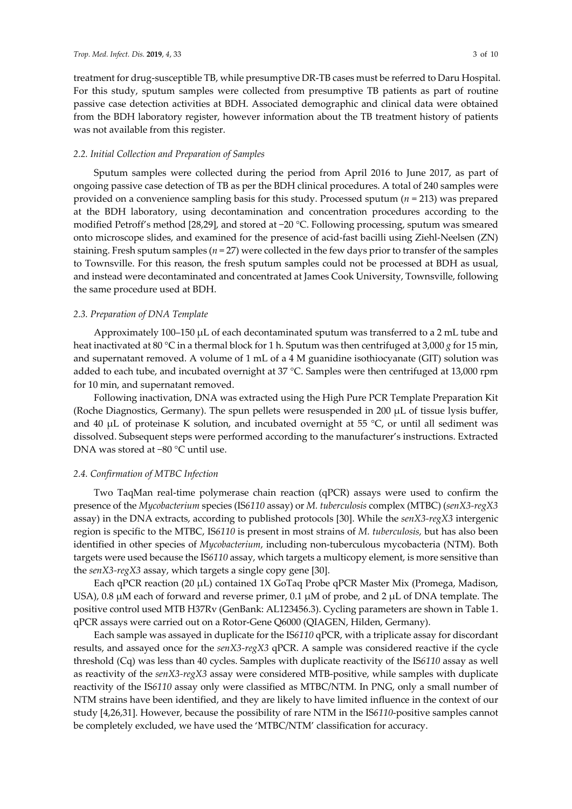treatment for drug-susceptible TB, while presumptive DR-TB cases must be referred to Daru Hospital. For this study, sputum samples were collected from presumptive TB patients as part of routine passive case detection activities at BDH. Associated demographic and clinical data were obtained from the BDH laboratory register, however information about the TB treatment history of patients was not available from this register.

#### *2.2. Initial Collection and Preparation of Samples*

Sputum samples were collected during the period from April 2016 to June 2017, as part of ongoing passive case detection of TB as per the BDH clinical procedures. A total of 240 samples were provided on a convenience sampling basis for this study. Processed sputum (*n* = 213) was prepared at the BDH laboratory, using decontamination and concentration procedures according to the modified Petroff's method [28,29], and stored at −20 °C. Following processing, sputum was smeared onto microscope slides, and examined for the presence of acid-fast bacilli using Ziehl-Neelsen (ZN) staining. Fresh sputum samples ( $n = 27$ ) were collected in the few days prior to transfer of the samples to Townsville. For this reason, the fresh sputum samples could not be processed at BDH as usual, and instead were decontaminated and concentrated at James Cook University, Townsville, following the same procedure used at BDH.

## *2.3. Preparation of DNA Template*

Approximately 100–150 µL of each decontaminated sputum was transferred to a 2 mL tube and heat inactivated at 80 °C in a thermal block for 1 h. Sputum was then centrifuged at 3,000 *g* for 15 min, and supernatant removed. A volume of 1 mL of a 4 M guanidine isothiocyanate (GIT) solution was added to each tube, and incubated overnight at 37 °C. Samples were then centrifuged at 13,000 rpm for 10 min, and supernatant removed.

Following inactivation, DNA was extracted using the High Pure PCR Template Preparation Kit (Roche Diagnostics, Germany). The spun pellets were resuspended in 200 µL of tissue lysis buffer, and 40  $\mu$ L of proteinase K solution, and incubated overnight at 55 °C, or until all sediment was dissolved. Subsequent steps were performed according to the manufacturer's instructions. Extracted DNA was stored at −80 °C until use.

## *2.4. Confirmation of MTBC Infection*

Two TaqMan real-time polymerase chain reaction (qPCR) assays were used to confirm the presence of the *Mycobacterium* species (IS*6110* assay) or *M. tuberculosis* complex (MTBC) (*senX3-regX3* assay) in the DNA extracts, according to published protocols [30]. While the *senX3-regX3* intergenic region is specific to the MTBC, IS*6110* is present in most strains of *M. tuberculosis,* but has also been identified in other species of *Mycobacterium*, including non-tuberculous mycobacteria (NTM). Both targets were used because the IS*6110* assay, which targets a multicopy element, is more sensitive than the *senX3-regX3* assay, which targets a single copy gene [30].

Each qPCR reaction (20 µL) contained 1X GoTaq Probe qPCR Master Mix (Promega, Madison, USA), 0.8  $\mu$ M each of forward and reverse primer, 0.1  $\mu$ M of probe, and 2  $\mu$ L of DNA template. The positive control used MTB H37Rv (GenBank: AL123456.3). Cycling parameters are shown in Table 1. qPCR assays were carried out on a Rotor-Gene Q6000 (QIAGEN, Hilden, Germany).

Each sample was assayed in duplicate for the IS*6110* qPCR, with a triplicate assay for discordant results, and assayed once for the *senX3-regX3* qPCR. A sample was considered reactive if the cycle threshold (Cq) was less than 40 cycles. Samples with duplicate reactivity of the IS*6110* assay as well as reactivity of the *senX3-regX3* assay were considered MTB-positive, while samples with duplicate reactivity of the IS*6110* assay only were classified as MTBC/NTM. In PNG, only a small number of NTM strains have been identified, and they are likely to have limited influence in the context of our study [4,26,31]. However, because the possibility of rare NTM in the IS*6110*-positive samples cannot be completely excluded, we have used the 'MTBC/NTM' classification for accuracy.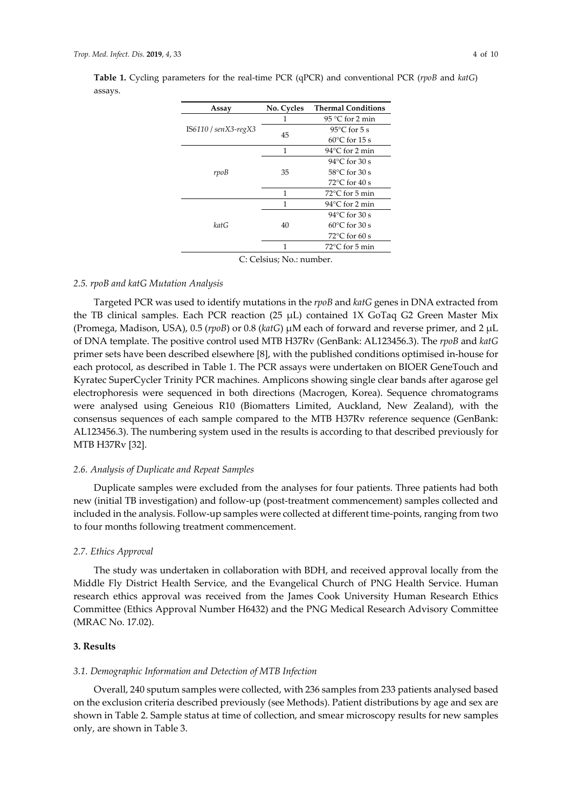| No. Cycles                                                                                                                                              | <b>Thermal Conditions</b> |
|---------------------------------------------------------------------------------------------------------------------------------------------------------|---------------------------|
| 1                                                                                                                                                       | 95 $°C$ for 2 min         |
|                                                                                                                                                         | 95°C for 5 s              |
|                                                                                                                                                         | $60^{\circ}$ C for 15 s   |
| 1                                                                                                                                                       | 94 $\degree$ C for 2 min  |
|                                                                                                                                                         | 94 $\degree$ C for 30 s   |
| 35                                                                                                                                                      | $58^{\circ}$ C for 30 s   |
|                                                                                                                                                         | $72^{\circ}$ C for 40 s   |
| 1                                                                                                                                                       | 72°C for 5 min            |
| Assay<br>$IS6110 / senX3-regX3$<br>45<br>rpoB<br>94 $\degree$ C for 30 s<br>$60^{\circ}$ C for 30 s<br>$k$ at $G$<br>40<br>$72^{\circ}$ C for 60 s<br>1 | 94 $\degree$ C for 2 min  |
|                                                                                                                                                         |                           |
|                                                                                                                                                         |                           |
|                                                                                                                                                         |                           |
|                                                                                                                                                         | $72^{\circ}$ C for 5 min  |
|                                                                                                                                                         |                           |

**Table 1.** Cycling parameters for the real-time PCR (qPCR) and conventional PCR (*rpoB* and *katG*) assays.

C: Celsius; No.: number.

#### *2.5. rpoB and katG Mutation Analysis*

Targeted PCR was used to identify mutations in the *rpoB* and *katG* genes in DNA extracted from the TB clinical samples. Each PCR reaction  $(25 \mu L)$  contained 1X GoTaq G2 Green Master Mix (Promega, Madison, USA), 0.5 (*rpoB*) or 0.8 (*katG*) µM each of forward and reverse primer, and 2 µL of DNA template. The positive control used MTB H37Rv (GenBank: AL123456.3). The *rpoB* and *katG*  primer sets have been described elsewhere [8], with the published conditions optimised in-house for each protocol, as described in Table 1. The PCR assays were undertaken on BIOER GeneTouch and Kyratec SuperCycler Trinity PCR machines. Amplicons showing single clear bands after agarose gel electrophoresis were sequenced in both directions (Macrogen, Korea). Sequence chromatograms were analysed using Geneious R10 (Biomatters Limited, Auckland, New Zealand), with the consensus sequences of each sample compared to the MTB H37Rv reference sequence (GenBank: AL123456.3). The numbering system used in the results is according to that described previously for MTB H37Rv [32].

## *2.6. Analysis of Duplicate and Repeat Samples*

Duplicate samples were excluded from the analyses for four patients. Three patients had both new (initial TB investigation) and follow-up (post-treatment commencement) samples collected and included in the analysis. Follow-up samples were collected at different time-points, ranging from two to four months following treatment commencement.

## *2.7. Ethics Approval*

The study was undertaken in collaboration with BDH, and received approval locally from the Middle Fly District Health Service, and the Evangelical Church of PNG Health Service. Human research ethics approval was received from the James Cook University Human Research Ethics Committee (Ethics Approval Number H6432) and the PNG Medical Research Advisory Committee (MRAC No. 17.02).

## **3. Results**

#### *3.1. Demographic Information and Detection of MTB Infection*

Overall, 240 sputum samples were collected, with 236 samples from 233 patients analysed based on the exclusion criteria described previously (see Methods). Patient distributions by age and sex are shown in Table 2. Sample status at time of collection, and smear microscopy results for new samples only, are shown in Table 3.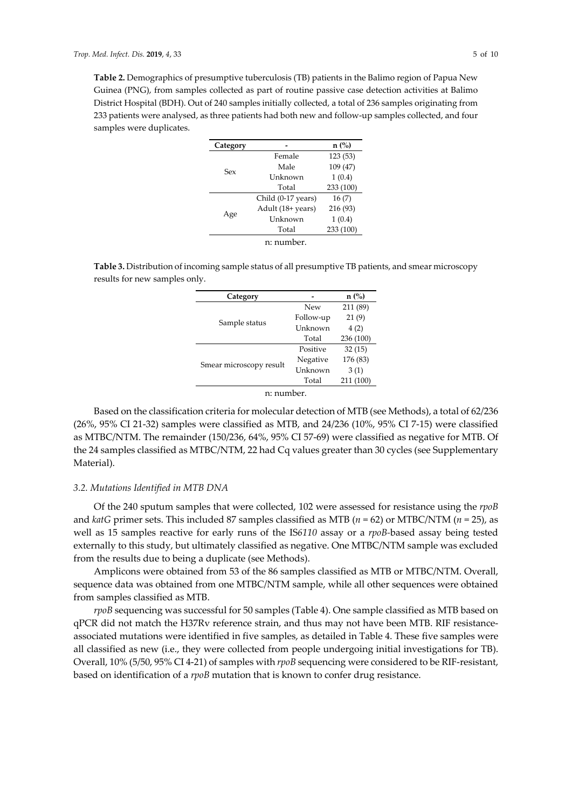**Table 2.** Demographics of presumptive tuberculosis (TB) patients in the Balimo region of Papua New Guinea (PNG), from samples collected as part of routine passive case detection activities at Balimo District Hospital (BDH). Out of 240 samples initially collected, a total of 236 samples originating from 233 patients were analysed, as three patients had both new and follow-up samples collected, and four samples were duplicates.

| Category |                    | $n\ (\%)$ |
|----------|--------------------|-----------|
|          | Female             | 123 (53)  |
| Sex      | Male               | 109(47)   |
|          | Unknown            | 1(0.4)    |
|          | Total              | 233 (100) |
| Age      | Child (0-17 years) | 16(7)     |
|          | Adult (18+ years)  | 216 (93)  |
|          | Unknown            | 1(0.4)    |
|          | Total              | 233 (100) |
|          | n: number.         |           |

**Table 3.** Distribution of incoming sample status of all presumptive TB patients, and smear microscopy results for new samples only.

| Category                |           | n (%)     |  |
|-------------------------|-----------|-----------|--|
| Sample status           | New       | 211 (89)  |  |
|                         | Follow-up | 21(9)     |  |
|                         | Unknown   | 4(2)      |  |
|                         | Total     | 236 (100) |  |
| Smear microscopy result | Positive  | 32(15)    |  |
|                         | Negative  | 176 (83)  |  |
|                         | Unknown   | 3(1)      |  |
|                         | Total     | 211 (100) |  |
| n: number.              |           |           |  |

Based on the classification criteria for molecular detection of MTB (see Methods), a total of 62/236 (26%, 95% CI 21-32) samples were classified as MTB, and 24/236 (10%, 95% CI 7-15) were classified as MTBC/NTM. The remainder (150/236, 64%, 95% CI 57-69) were classified as negative for MTB. Of the 24 samples classified as MTBC/NTM, 22 had Cq values greater than 30 cycles (see Supplementary Material).

## *3.2. Mutations Identified in MTB DNA*

Of the 240 sputum samples that were collected, 102 were assessed for resistance using the *rpoB*  and *katG* primer sets. This included 87 samples classified as MTB (*n* = 62) or MTBC/NTM (*n* = 25), as well as 15 samples reactive for early runs of the IS*6110* assay or a *rpoB-*based assay being tested externally to this study, but ultimately classified as negative. One MTBC/NTM sample was excluded from the results due to being a duplicate (see Methods).

Amplicons were obtained from 53 of the 86 samples classified as MTB or MTBC/NTM. Overall, sequence data was obtained from one MTBC/NTM sample, while all other sequences were obtained from samples classified as MTB.

*rpoB* sequencing was successful for 50 samples (Table 4). One sample classified as MTB based on qPCR did not match the H37Rv reference strain, and thus may not have been MTB. RIF resistanceassociated mutations were identified in five samples, as detailed in Table 4. These five samples were all classified as new (i.e., they were collected from people undergoing initial investigations for TB). Overall, 10% (5/50, 95% CI 4-21) of samples with *rpoB* sequencing were considered to be RIF-resistant, based on identification of a *rpoB* mutation that is known to confer drug resistance.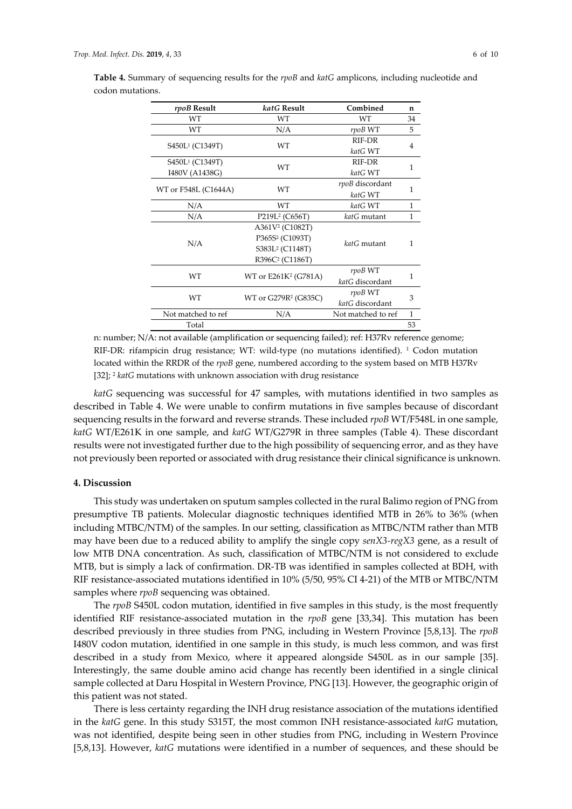| rpoB Result                 | katG Result                      | Combined           | $\mathbf n$  |  |
|-----------------------------|----------------------------------|--------------------|--------------|--|
| WT                          | WT                               | WT                 | 34           |  |
| <b>WT</b>                   | N/A                              | rpoB WT            | 5            |  |
| S450L <sup>1</sup> (C1349T) | WТ                               | RIF-DR             | 4            |  |
|                             |                                  | katG WT            |              |  |
| S450L <sup>1</sup> (C1349T) | WТ                               | RIF-DR             | 1            |  |
| I480V (A1438G)              |                                  | katG WT            |              |  |
| WT or F548L (C1644A)        | WТ                               | rpoB discordant    | 1            |  |
|                             |                                  | katG WT            |              |  |
| N/A                         | WТ                               | katG WT            | $\mathbf{1}$ |  |
| N/A                         | P219L <sup>2</sup> (C656T)       | katG mutant        | 1            |  |
| N/A                         | A361V <sup>2</sup> (C1082T)      |                    |              |  |
|                             | P365S <sup>2</sup> (C1093T)      | katG mutant<br>1   |              |  |
|                             | S383L <sup>2</sup> (C1148T)      |                    |              |  |
|                             | R396C <sup>2</sup> (C1186T)      |                    |              |  |
| WТ                          | WT or E261K <sup>2</sup> (G781A) | rpoB WT            | 1            |  |
|                             |                                  | katG discordant    |              |  |
| WT                          |                                  | rpoB WT            | 3            |  |
|                             | WT or G279R <sup>2</sup> (G835C) | katG discordant    |              |  |
| Not matched to ref          | N/A                              | Not matched to ref | $\mathbf{1}$ |  |
| Total                       |                                  |                    | 53           |  |

**Table 4.** Summary of sequencing results for the *rpoB* and *katG* amplicons, including nucleotide and codon mutations.

n: number; N/A: not available (amplification or sequencing failed); ref: H37Rv reference genome; RIF-DR: rifampicin drug resistance; WT: wild-type (no mutations identified). 1 Codon mutation located within the RRDR of the *rpoB* gene, numbered according to the system based on MTB H37Rv [32]; 2 *katG* mutations with unknown association with drug resistance

*katG* sequencing was successful for 47 samples, with mutations identified in two samples as described in Table 4. We were unable to confirm mutations in five samples because of discordant sequencing results in the forward and reverse strands. These included *rpoB* WT/F548L in one sample, *katG* WT/E261K in one sample, and *katG* WT/G279R in three samples (Table 4). These discordant results were not investigated further due to the high possibility of sequencing error, and as they have not previously been reported or associated with drug resistance their clinical significance is unknown.

## **4. Discussion**

This study was undertaken on sputum samples collected in the rural Balimo region of PNG from presumptive TB patients. Molecular diagnostic techniques identified MTB in 26% to 36% (when including MTBC/NTM) of the samples. In our setting, classification as MTBC/NTM rather than MTB may have been due to a reduced ability to amplify the single copy *senX3-regX3* gene, as a result of low MTB DNA concentration. As such, classification of MTBC/NTM is not considered to exclude MTB, but is simply a lack of confirmation. DR-TB was identified in samples collected at BDH, with RIF resistance-associated mutations identified in 10% (5/50, 95% CI 4-21) of the MTB or MTBC/NTM samples where *rpoB* sequencing was obtained.

The *rpoB* S450L codon mutation, identified in five samples in this study, is the most frequently identified RIF resistance-associated mutation in the *rpoB* gene [33,34]. This mutation has been described previously in three studies from PNG, including in Western Province [5,8,13]. The *rpoB* I480V codon mutation, identified in one sample in this study, is much less common, and was first described in a study from Mexico, where it appeared alongside S450L as in our sample [35]. Interestingly, the same double amino acid change has recently been identified in a single clinical sample collected at Daru Hospital in Western Province, PNG [13]. However, the geographic origin of this patient was not stated.

There is less certainty regarding the INH drug resistance association of the mutations identified in the *katG* gene. In this study S315T, the most common INH resistance-associated *katG* mutation, was not identified, despite being seen in other studies from PNG, including in Western Province [5,8,13]. However, *katG* mutations were identified in a number of sequences, and these should be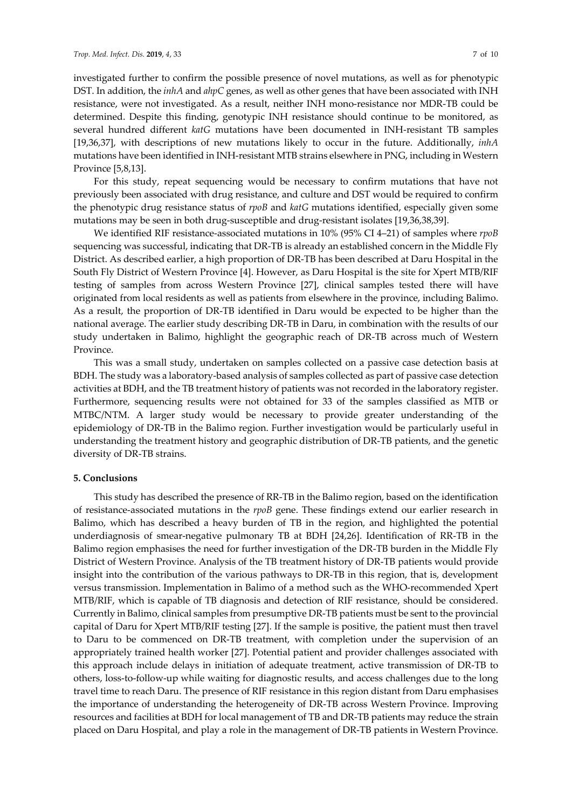investigated further to confirm the possible presence of novel mutations, as well as for phenotypic DST. In addition, the *inhA* and *ahpC* genes, as well as other genes that have been associated with INH resistance, were not investigated. As a result, neither INH mono-resistance nor MDR-TB could be determined. Despite this finding, genotypic INH resistance should continue to be monitored, as several hundred different *katG* mutations have been documented in INH-resistant TB samples [19,36,37], with descriptions of new mutations likely to occur in the future. Additionally, *inhA*  mutations have been identified in INH-resistant MTB strains elsewhere in PNG, including in Western Province [5,8,13].

For this study, repeat sequencing would be necessary to confirm mutations that have not previously been associated with drug resistance, and culture and DST would be required to confirm the phenotypic drug resistance status of *rpoB* and *katG* mutations identified, especially given some mutations may be seen in both drug-susceptible and drug-resistant isolates [19,36,38,39].

We identified RIF resistance-associated mutations in 10% (95% CI 4–21) of samples where *rpoB*  sequencing was successful, indicating that DR-TB is already an established concern in the Middle Fly District. As described earlier, a high proportion of DR-TB has been described at Daru Hospital in the South Fly District of Western Province [4]. However, as Daru Hospital is the site for Xpert MTB/RIF testing of samples from across Western Province [27], clinical samples tested there will have originated from local residents as well as patients from elsewhere in the province, including Balimo. As a result, the proportion of DR-TB identified in Daru would be expected to be higher than the national average. The earlier study describing DR-TB in Daru, in combination with the results of our study undertaken in Balimo, highlight the geographic reach of DR-TB across much of Western Province.

This was a small study, undertaken on samples collected on a passive case detection basis at BDH. The study was a laboratory-based analysis of samples collected as part of passive case detection activities at BDH, and the TB treatment history of patients was not recorded in the laboratory register. Furthermore, sequencing results were not obtained for 33 of the samples classified as MTB or MTBC/NTM. A larger study would be necessary to provide greater understanding of the epidemiology of DR-TB in the Balimo region. Further investigation would be particularly useful in understanding the treatment history and geographic distribution of DR-TB patients, and the genetic diversity of DR-TB strains.

## **5. Conclusions**

This study has described the presence of RR-TB in the Balimo region, based on the identification of resistance-associated mutations in the *rpoB* gene. These findings extend our earlier research in Balimo, which has described a heavy burden of TB in the region, and highlighted the potential underdiagnosis of smear-negative pulmonary TB at BDH [24,26]. Identification of RR-TB in the Balimo region emphasises the need for further investigation of the DR-TB burden in the Middle Fly District of Western Province. Analysis of the TB treatment history of DR-TB patients would provide insight into the contribution of the various pathways to DR-TB in this region, that is, development versus transmission. Implementation in Balimo of a method such as the WHO-recommended Xpert MTB/RIF, which is capable of TB diagnosis and detection of RIF resistance, should be considered. Currently in Balimo, clinical samples from presumptive DR-TB patients must be sent to the provincial capital of Daru for Xpert MTB/RIF testing [27]. If the sample is positive, the patient must then travel to Daru to be commenced on DR-TB treatment, with completion under the supervision of an appropriately trained health worker [27]. Potential patient and provider challenges associated with this approach include delays in initiation of adequate treatment, active transmission of DR-TB to others, loss-to-follow-up while waiting for diagnostic results, and access challenges due to the long travel time to reach Daru. The presence of RIF resistance in this region distant from Daru emphasises the importance of understanding the heterogeneity of DR-TB across Western Province. Improving resources and facilities at BDH for local management of TB and DR-TB patients may reduce the strain placed on Daru Hospital, and play a role in the management of DR-TB patients in Western Province.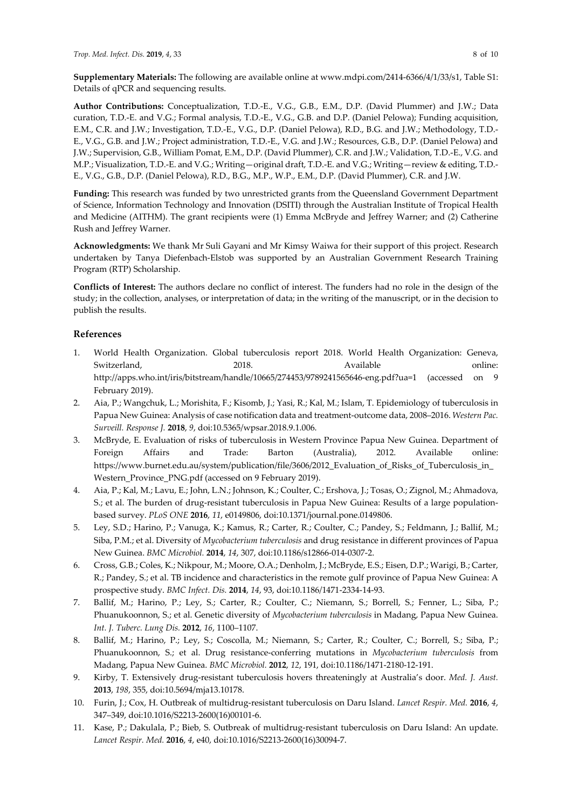**Supplementary Materials:** The following are available online at www.mdpi.com/2414-6366/4/1/33/s1, Table S1: Details of qPCR and sequencing results.

**Author Contributions:** Conceptualization, T.D.-E., V.G., G.B., E.M., D.P. (David Plummer) and J.W.; Data curation, T.D.-E. and V.G.; Formal analysis, T.D.-E., V.G., G.B. and D.P. (Daniel Pelowa); Funding acquisition, E.M., C.R. and J.W.; Investigation, T.D.-E., V.G., D.P. (Daniel Pelowa), R.D., B.G. and J.W.; Methodology, T.D.- E., V.G., G.B. and J.W.; Project administration, T.D.-E., V.G. and J.W.; Resources, G.B., D.P. (Daniel Pelowa) and J.W.; Supervision, G.B., William Pomat, E.M., D.P. (David Plummer), C.R. and J.W.; Validation, T.D.-E., V.G. and M.P.; Visualization, T.D.-E. and V.G.; Writing—original draft, T.D.-E. and V.G.; Writing—review & editing, T.D.- E., V.G., G.B., D.P. (Daniel Pelowa), R.D., B.G., M.P., W.P., E.M., D.P. (David Plummer), C.R. and J.W.

**Funding:** This research was funded by two unrestricted grants from the Queensland Government Department of Science, Information Technology and Innovation (DSITI) through the Australian Institute of Tropical Health and Medicine (AITHM). The grant recipients were (1) Emma McBryde and Jeffrey Warner; and (2) Catherine Rush and Jeffrey Warner.

**Acknowledgments:** We thank Mr Suli Gayani and Mr Kimsy Waiwa for their support of this project. Research undertaken by Tanya Diefenbach-Elstob was supported by an Australian Government Research Training Program (RTP) Scholarship.

**Conflicts of Interest:** The authors declare no conflict of interest. The funders had no role in the design of the study; in the collection, analyses, or interpretation of data; in the writing of the manuscript, or in the decision to publish the results.

## **References**

- 1. World Health Organization. Global tuberculosis report 2018. World Health Organization: Geneva, Switzerland, 2018. 2018. Available online: http://apps.who.int/iris/bitstream/handle/10665/274453/9789241565646-eng.pdf?ua=1 (accessed on 9 February 2019).
- 2. Aia, P.; Wangchuk, L.; Morishita, F.; Kisomb, J.; Yasi, R.; Kal, M.; Islam, T. Epidemiology of tuberculosis in Papua New Guinea: Analysis of case notification data and treatment-outcome data, 2008–2016. *Western Pac. Surveill. Response J.* **2018**, *9*, doi:10.5365/wpsar.2018.9.1.006.
- 3. McBryde, E. Evaluation of risks of tuberculosis in Western Province Papua New Guinea. Department of Foreign Affairs and Trade: Barton (Australia), 2012. Available online: https://www.burnet.edu.au/system/publication/file/3606/2012\_Evaluation\_of\_Risks\_of\_Tuberculosis\_in\_ Western\_Province\_PNG.pdf (accessed on 9 February 2019).
- 4. Aia, P.; Kal, M.; Lavu, E.; John, L.N.; Johnson, K.; Coulter, C.; Ershova, J.; Tosas, O.; Zignol, M.; Ahmadova, S.; et al. The burden of drug-resistant tuberculosis in Papua New Guinea: Results of a large populationbased survey. *PLoS ONE* **2016**, *11*, e0149806, doi:10.1371/journal.pone.0149806.
- 5. Ley, S.D.; Harino, P.; Vanuga, K.; Kamus, R.; Carter, R.; Coulter, C.; Pandey, S.; Feldmann, J.; Ballif, M.; Siba, P.M.; et al. Diversity of *Mycobacterium tuberculosis* and drug resistance in different provinces of Papua New Guinea. *BMC Microbiol.* **2014**, *14*, 307, doi:10.1186/s12866-014-0307-2.
- 6. Cross, G.B.; Coles, K.; Nikpour, M.; Moore, O.A.; Denholm, J.; McBryde, E.S.; Eisen, D.P.; Warigi, B.; Carter, R.; Pandey, S.; et al. TB incidence and characteristics in the remote gulf province of Papua New Guinea: A prospective study. *BMC Infect. Dis.* **2014**, *14*, 93, doi:10.1186/1471-2334-14-93.
- 7. Ballif, M.; Harino, P.; Ley, S.; Carter, R.; Coulter, C.; Niemann, S.; Borrell, S.; Fenner, L.; Siba, P.; Phuanukoonnon, S.; et al. Genetic diversity of *Mycobacterium tuberculosis* in Madang, Papua New Guinea. *Int. J. Tuberc. Lung Dis.* **2012**, *16*, 1100–1107.
- 8. Ballif, M.; Harino, P.; Ley, S.; Coscolla, M.; Niemann, S.; Carter, R.; Coulter, C.; Borrell, S.; Siba, P.; Phuanukoonnon, S.; et al. Drug resistance-conferring mutations in *Mycobacterium tuberculosis* from Madang, Papua New Guinea. *BMC Microbiol.* **2012**, *12*, 191, doi:10.1186/1471-2180-12-191.
- 9. Kirby, T. Extensively drug-resistant tuberculosis hovers threateningly at Australia's door. *Med. J. Aust.* **2013**, *198*, 355, doi:10.5694/mja13.10178.
- 10. Furin, J.; Cox, H. Outbreak of multidrug-resistant tuberculosis on Daru Island. *Lancet Respir. Med.* **2016**, *4*, 347–349, doi:10.1016/S2213-2600(16)00101-6.
- 11. Kase, P.; Dakulala, P.; Bieb, S. Outbreak of multidrug-resistant tuberculosis on Daru Island: An update. *Lancet Respir. Med.* **2016**, *4*, e40, doi:10.1016/S2213-2600(16)30094-7.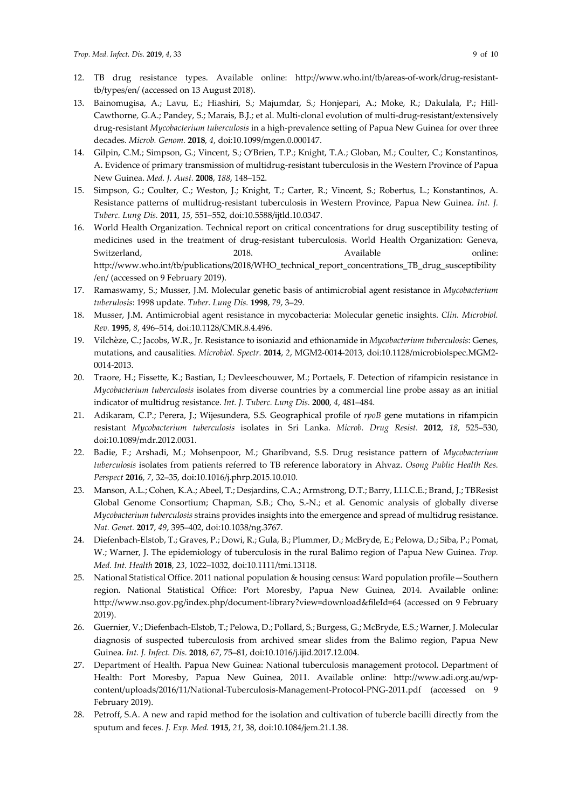- 12. TB drug resistance types. Available online: http://www.who.int/tb/areas-of-work/drug-resistanttb/types/en/ (accessed on 13 August 2018).
- 13. Bainomugisa, A.; Lavu, E.; Hiashiri, S.; Majumdar, S.; Honjepari, A.; Moke, R.; Dakulala, P.; Hill-Cawthorne, G.A.; Pandey, S.; Marais, B.J.; et al. Multi-clonal evolution of multi-drug-resistant/extensively drug-resistant *Mycobacterium tuberculosis* in a high-prevalence setting of Papua New Guinea for over three decades. *Microb. Genom.* **2018**, *4*, doi:10.1099/mgen.0.000147.
- 14. Gilpin, C.M.; Simpson, G.; Vincent, S.; O'Brien, T.P.; Knight, T.A.; Globan, M.; Coulter, C.; Konstantinos, A. Evidence of primary transmission of multidrug-resistant tuberculosis in the Western Province of Papua New Guinea. *Med. J. Aust.* **2008**, *188*, 148–152.
- 15. Simpson, G.; Coulter, C.; Weston, J.; Knight, T.; Carter, R.; Vincent, S.; Robertus, L.; Konstantinos, A. Resistance patterns of multidrug-resistant tuberculosis in Western Province, Papua New Guinea. *Int. J. Tuberc. Lung Dis.* **2011**, *15*, 551–552, doi:10.5588/ijtld.10.0347.
- 16. World Health Organization. Technical report on critical concentrations for drug susceptibility testing of medicines used in the treatment of drug-resistant tuberculosis. World Health Organization: Geneva, Switzerland, 2018. Available online: http://www.who.int/tb/publications/2018/WHO\_technical\_report\_concentrations\_TB\_drug\_susceptibility /en/ (accessed on 9 February 2019).
- 17. Ramaswamy, S.; Musser, J.M. Molecular genetic basis of antimicrobial agent resistance in *Mycobacterium tuberulosis*: 1998 update. *Tuber. Lung Dis.* **1998**, *79*, 3–29.
- 18. Musser, J.M. Antimicrobial agent resistance in mycobacteria: Molecular genetic insights. *Clin. Microbiol. Rev.* **1995**, *8*, 496–514, doi:10.1128/CMR.8.4.496.
- 19. Vilchèze, C.; Jacobs, W.R., Jr. Resistance to isoniazid and ethionamide in *Mycobacterium tuberculosis*: Genes, mutations, and causalities. *Microbiol. Spectr.* **2014**, *2*, MGM2-0014-2013, doi:10.1128/microbiolspec.MGM2- 0014-2013.
- 20. Traore, H.; Fissette, K.; Bastian, I.; Devleeschouwer, M.; Portaels, F. Detection of rifampicin resistance in *Mycobacterium tuberculosis* isolates from diverse countries by a commercial line probe assay as an initial indicator of multidrug resistance. *Int. J. Tuberc. Lung Dis.* **2000**, *4*, 481–484.
- 21. Adikaram, C.P.; Perera, J.; Wijesundera, S.S. Geographical profile of *rpoB* gene mutations in rifampicin resistant *Mycobacterium tuberculosis* isolates in Sri Lanka. *Microb. Drug Resist.* **2012**, *18*, 525–530, doi:10.1089/mdr.2012.0031.
- 22. Badie, F.; Arshadi, M.; Mohsenpoor, M.; Gharibvand, S.S. Drug resistance pattern of *Mycobacterium tuberculosis* isolates from patients referred to TB reference laboratory in Ahvaz. *Osong Public Health Res. Perspect* **2016**, *7*, 32–35, doi:10.1016/j.phrp.2015.10.010.
- 23. Manson, A.L.; Cohen, K.A.; Abeel, T.; Desjardins, C.A.; Armstrong, D.T.; Barry, I.I.I.C.E.; Brand, J.; TBResist Global Genome Consortium; Chapman, S.B.; Cho, S.-N.; et al. Genomic analysis of globally diverse *Mycobacterium tuberculosis* strains provides insights into the emergence and spread of multidrug resistance. *Nat. Genet.* **2017**, *49*, 395–402, doi:10.1038/ng.3767.
- 24. Diefenbach-Elstob, T.; Graves, P.; Dowi, R.; Gula, B.; Plummer, D.; McBryde, E.; Pelowa, D.; Siba, P.; Pomat, W.; Warner, J. The epidemiology of tuberculosis in the rural Balimo region of Papua New Guinea. *Trop. Med. Int. Health* **2018**, *23*, 1022–1032, doi:10.1111/tmi.13118.
- 25. National Statistical Office. 2011 national population & housing census: Ward population profile—Southern region. National Statistical Office: Port Moresby, Papua New Guinea, 2014. Available online: http://www.nso.gov.pg/index.php/document-library?view=download&fileId=64 (accessed on 9 February 2019).
- 26. Guernier, V.; Diefenbach-Elstob, T.; Pelowa, D.; Pollard, S.; Burgess, G.; McBryde, E.S.; Warner, J. Molecular diagnosis of suspected tuberculosis from archived smear slides from the Balimo region, Papua New Guinea. *Int. J. Infect. Dis.* **2018**, *67*, 75–81, doi:10.1016/j.ijid.2017.12.004.
- 27. Department of Health. Papua New Guinea: National tuberculosis management protocol. Department of Health: Port Moresby, Papua New Guinea, 2011. Available online: http://www.adi.org.au/wpcontent/uploads/2016/11/National-Tuberculosis-Management-Protocol-PNG-2011.pdf (accessed on 9 February 2019).
- 28. Petroff, S.A. A new and rapid method for the isolation and cultivation of tubercle bacilli directly from the sputum and feces. *J. Exp. Med.* **1915**, *21*, 38, doi:10.1084/jem.21.1.38.